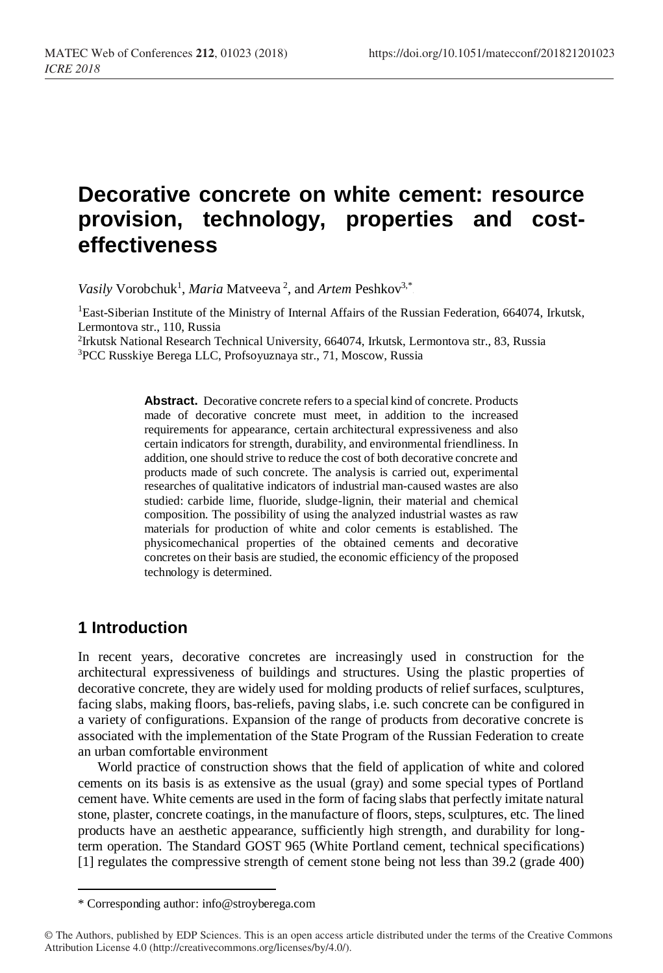# **Decorative concrete on white cement: resource provision, technology, properties and costeffectiveness**

Vasily Vorobchuk<sup>1</sup>, *Maria* Matveeva<sup>2</sup>, and *Artem* Peshkov<sup>3,\*</sup>

<sup>1</sup>East-Siberian Institute of the Ministry of Internal Affairs of the Russian Federation, 664074, Irkutsk, Lermontova str., 110, Russia

2 Irkutsk National Research Technical University, 664074, Irkutsk, Lermontova str., 83, Russia <sup>3</sup>PCC Russkiye Berega LLC, Profsoyuznaya str., 71, Moscow, Russia

> **Abstract.** Decorative concrete refers to a special kind of concrete. Products made of decorative concrete must meet, in addition to the increased requirements for appearance, certain architectural expressiveness and also certain indicators for strength, durability, and environmental friendliness. In addition, one should strive to reduce the cost of both decorative concrete and products made of such concrete. The analysis is carried out, experimental researches of qualitative indicators of industrial man-caused wastes are also studied: carbide lime, fluoride, sludge-lignin, their material and chemical composition. The possibility of using the analyzed industrial wastes as raw materials for production of white and color cements is established. The physicomechanical properties of the obtained cements and decorative concretes on their basis are studied, the economic efficiency of the proposed technology is determined.

# **1 Introduction**

l

In recent years, decorative concretes are increasingly used in construction for the architectural expressiveness of buildings and structures. Using the plastic properties of decorative concrete, they are widely used for molding products of relief surfaces, sculptures, facing slabs, making floors, bas-reliefs, paving slabs, i.e. such concrete can be configured in a variety of configurations. Expansion of the range of products from decorative concrete is associated with the implementation of the State Program of the Russian Federation to create an urban comfortable environment

World practice of construction shows that the field of application of white and colored cements on its basis is as extensive as the usual (gray) and some special types of Portland cement have. White cements are used in the form of facing slabs that perfectly imitate natural stone, plaster, concrete coatings, in the manufacture of floors, steps, sculptures, etc. The lined products have an aesthetic appearance, sufficiently high strength, and durability for longterm operation. The Standard GOST 965 (White Portland cement, technical specifications) [1] regulates the compressive strength of cement stone being not less than 39.2 (grade 400)

<sup>\*</sup> Corresponding author: info@stroyberega.com

<sup>©</sup> The Authors, published by EDP Sciences. This is an open access article distributed under the terms of the Creative Commons Attribution License 4.0 (http://creativecommons.org/licenses/by/4.0/).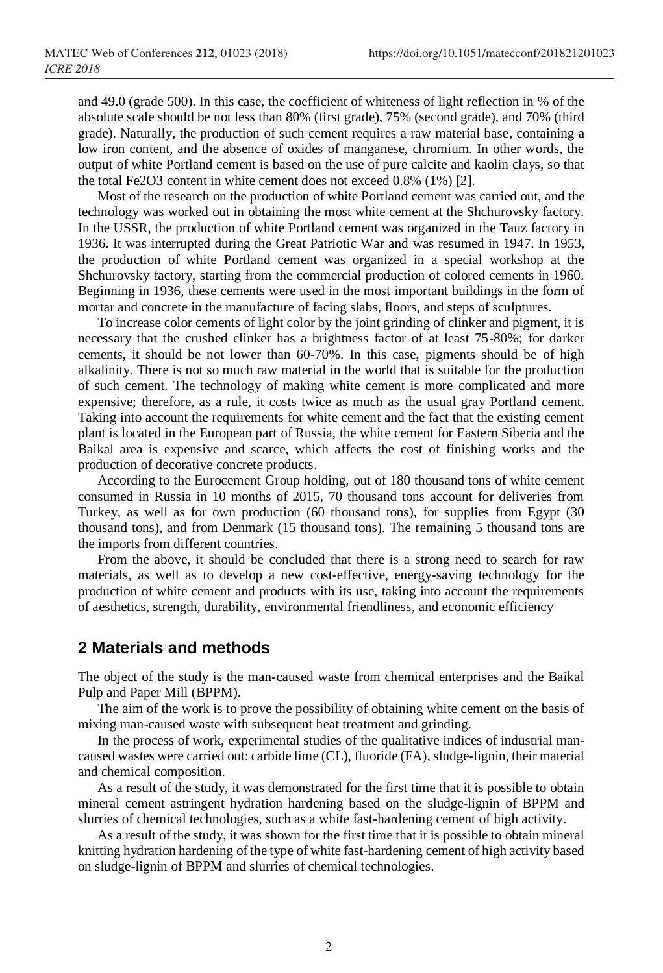and 49.0 (grade 500). In this case, the coefficient of whiteness of light reflection in % of the absolute scale should be not less than 80% (first grade), 75% (second grade), and 70% (third grade). Naturally, the production of such cement requires a raw material base, containing a low iron content, and the absence of oxides of manganese, chromium. In other words, the output of white Portland cement is based on the use of pure calcite and kaolin clays, so that the total Fe2O3 content in white cement does not exceed 0.8% (1%) [2].

Most of the research on the production of white Portland cement was carried out, and the technology was worked out in obtaining the most white cement at the Shchurovsky factory. In the USSR, the production of white Portland cement was organized in the Tauz factory in 1936. It was interrupted during the Great Patriotic War and was resumed in 1947. In 1953, the production of white Portland cement was organized in a special workshop at the Shchurovsky factory, starting from the commercial production of colored cements in 1960. Beginning in 1936, these cements were used in the most important buildings in the form of mortar and concrete in the manufacture of facing slabs, floors, and steps of sculptures.

To increase color cements of light color by the joint grinding of clinker and pigment, it is necessary that the crushed clinker has a brightness factor of at least 75-80%; for darker cements, it should be not lower than 60-70%. In this case, pigments should be of high alkalinity. There is not so much raw material in the world that is suitable for the production of such cement. The technology of making white cement is more complicated and more expensive; therefore, as a rule, it costs twice as much as the usual gray Portland cement. Taking into account the requirements for white cement and the fact that the existing cement plant is located in the European part of Russia, the white cement for Eastern Siberia and the Baikal area is expensive and scarce, which affects the cost of finishing works and the production of decorative concrete products.

According to the Eurocement Group holding, out of 180 thousand tons of white cement consumed in Russia in 10 months of 2015, 70 thousand tons account for deliveries from Turkey, as well as for own production (60 thousand tons), for supplies from Egypt (30 thousand tons), and from Denmark (15 thousand tons). The remaining 5 thousand tons are the imports from different countries.

From the above, it should be concluded that there is a strong need to search for raw materials, as well as to develop a new cost-effective, energy-saving technology for the production of white cement and products with its use, taking into account the requirements of aesthetics, strength, durability, environmental friendliness, and economic efficiency

### **2 Materials and methods**

The object of the study is the man-caused waste from chemical enterprises and the Baikal Pulp and Paper Mill (BPPM).

The aim of the work is to prove the possibility of obtaining white cement on the basis of mixing man-caused waste with subsequent heat treatment and grinding.

In the process of work, experimental studies of the qualitative indices of industrial mancaused wastes were carried out: carbide lime (CL), fluoride (FA), sludge-lignin, their material and chemical composition.

As a result of the study, it was demonstrated for the first time that it is possible to obtain mineral cement astringent hydration hardening based on the sludge-lignin of BPPM and slurries of chemical technologies, such as a white fast-hardening cement of high activity.

As a result of the study, it was shown for the first time that it is possible to obtain mineral knitting hydration hardening of the type of white fast-hardening cement of high activity based on sludge-lignin of BPPM and slurries of chemical technologies.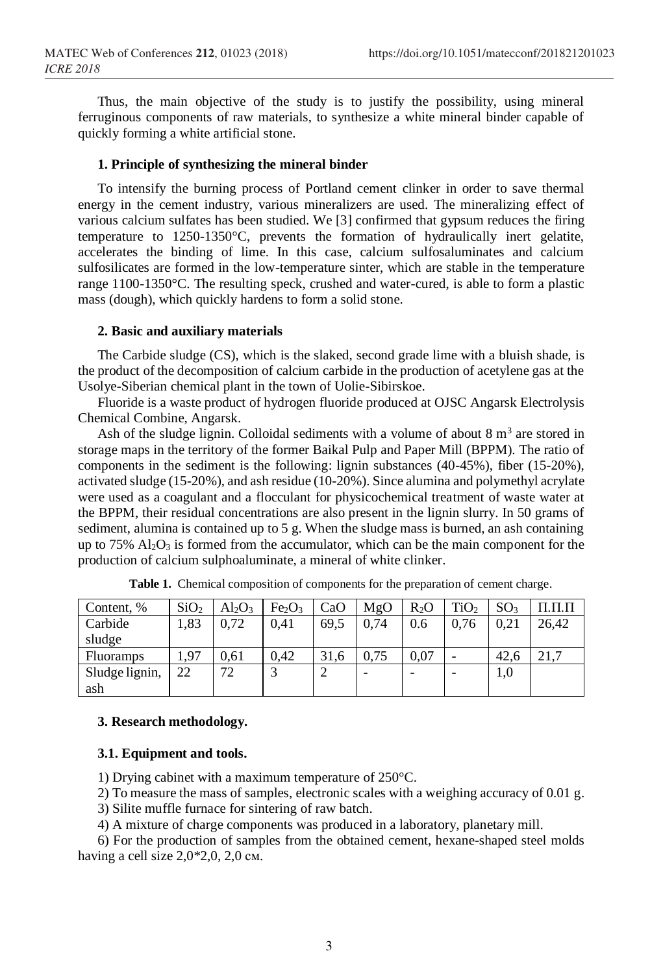Thus, the main objective of the study is to justify the possibility, using mineral ferruginous components of raw materials, to synthesize a white mineral binder capable of quickly forming a white artificial stone.

#### **1. Principle of synthesizing the mineral binder**

To intensify the burning process of Portland cement clinker in order to save thermal energy in the cement industry, various mineralizers are used. The mineralizing effect of various calcium sulfates has been studied. We [3] confirmed that gypsum reduces the firing temperature to 1250-1350°C, prevents the formation of hydraulically inert gelatite, accelerates the binding of lime. In this case, calcium sulfosaluminates and calcium sulfosilicates are formed in the low-temperature sinter, which are stable in the temperature range 1100-1350°C. The resulting speck, crushed and water-cured, is able to form a plastic mass (dough), which quickly hardens to form a solid stone.

#### **2. Basic and auxiliary materials**

The Carbide sludge (CS), which is the slaked, second grade lime with a bluish shade, is the product of the decomposition of calcium carbide in the production of acetylene gas at the Usolye-Siberian chemical plant in the town of Uolie-Sibirskoe.

Fluoride is a waste product of hydrogen fluoride produced at OJSC Angarsk Electrolysis Chemical Combine, Angarsk.

Ash of the sludge lignin. Colloidal sediments with a volume of about  $8 \text{ m}^3$  are stored in storage maps in the territory of the former Baikal Pulp and Paper Mill (BPPM). The ratio of components in the sediment is the following: lignin substances (40-45%), fiber (15-20%), activated sludge (15-20%), and ash residue (10-20%). Since alumina and polymethyl acrylate were used as a coagulant and a flocculant for physicochemical treatment of waste water at the BPPM, their residual concentrations are also present in the lignin slurry. In 50 grams of sediment, alumina is contained up to 5 g. When the sludge mass is burned, an ash containing up to 75%  $Al_2O_3$  is formed from the accumulator, which can be the main component for the production of calcium sulphoaluminate, a mineral of white clinker.

| Content, %       | SiO <sub>2</sub> | $Al_2O_3$ | Fe <sub>2</sub> O <sub>3</sub> | CaO  | MgO  | $R_2O$ | TiO <sub>2</sub> | SO <sub>3</sub> |       |
|------------------|------------------|-----------|--------------------------------|------|------|--------|------------------|-----------------|-------|
| Carbide          | 1,83             | 0.72      | 0.41                           | 69.5 | 0.74 | 0.6    | 0.76             | 0.21            | 26,42 |
| sludge           |                  |           |                                |      |      |        |                  |                 |       |
|                  |                  |           |                                |      |      |        |                  |                 |       |
| <b>Fluoramps</b> | 1.97             | 0.61      | 0.42                           | 31.6 | 0.75 | 0,07   |                  | 42.6            |       |
| Sludge lignin,   | 22               | 72        |                                | ∠    | -    |        |                  | 1,0             |       |

**Table 1.** Chemical composition of components for the preparation of cement charge.

#### **3. Research methodology.**

#### **3.1. Equipment and tools.**

1) Drying cabinet with a maximum temperature of 250°C.

2) To measure the mass of samples, electronic scales with a weighing accuracy of 0.01 g.

3) Silite muffle furnace for sintering of raw batch.

4) A mixture of charge components was produced in a laboratory, planetary mill.

6) For the production of samples from the obtained cement, hexane-shaped steel molds having a cell size  $2,0*2,0, 2,0$  cm.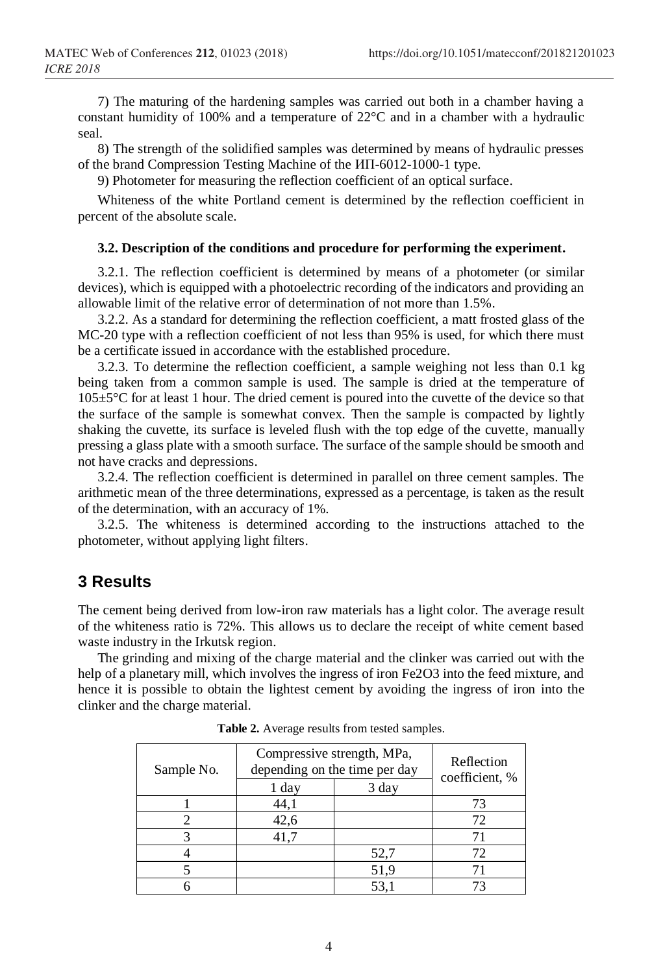7) The maturing of the hardening samples was carried out both in a chamber having a constant humidity of 100% and a temperature of 22°C and in a chamber with a hydraulic seal.

8) The strength of the solidified samples was determined by means of hydraulic presses of the brand Compression Testing Machine of the ИП-6012-1000-1 type.

9) Photometer for measuring the reflection coefficient of an optical surface.

Whiteness of the white Portland cement is determined by the reflection coefficient in percent of the absolute scale.

#### **3.2. Description of the conditions and procedure for performing the experiment.**

3.2.1. The reflection coefficient is determined by means of a photometer (or similar devices), which is equipped with a photoelectric recording of the indicators and providing an allowable limit of the relative error of determination of not more than 1.5%.

3.2.2. As a standard for determining the reflection coefficient, a matt frosted glass of the MC-20 type with a reflection coefficient of not less than 95% is used, for which there must be a certificate issued in accordance with the established procedure.

3.2.3. To determine the reflection coefficient, a sample weighing not less than 0.1 kg being taken from a common sample is used. The sample is dried at the temperature of  $105\pm5\degree$ C for at least 1 hour. The dried cement is poured into the cuvette of the device so that the surface of the sample is somewhat convex. Then the sample is compacted by lightly shaking the cuvette, its surface is leveled flush with the top edge of the cuvette, manually pressing a glass plate with a smooth surface. The surface of the sample should be smooth and not have cracks and depressions.

3.2.4. The reflection coefficient is determined in parallel on three cement samples. The arithmetic mean of the three determinations, expressed as a percentage, is taken as the result of the determination, with an accuracy of 1%.

3.2.5. The whiteness is determined according to the instructions attached to the photometer, without applying light filters.

### **3 Results**

The cement being derived from low-iron raw materials has a light color. The average result of the whiteness ratio is 72%. This allows us to declare the receipt of white cement based waste industry in the Irkutsk region.

The grinding and mixing of the charge material and the clinker was carried out with the help of a planetary mill, which involves the ingress of iron Fe2O3 into the feed mixture, and hence it is possible to obtain the lightest cement by avoiding the ingress of iron into the clinker and the charge material.

| Sample No. | Compressive strength, MPa,<br>depending on the time per day | Reflection<br>coefficient, % |    |
|------------|-------------------------------------------------------------|------------------------------|----|
|            | 1 day                                                       | 3 day                        |    |
|            | 44,1                                                        |                              | 73 |
|            | 42,6                                                        |                              | 72 |
|            | 41,7                                                        |                              |    |
|            |                                                             | 52,7                         | 72 |
|            |                                                             | 51,9                         |    |
|            |                                                             | 53,                          |    |

**Table 2.** Average results from tested samples.